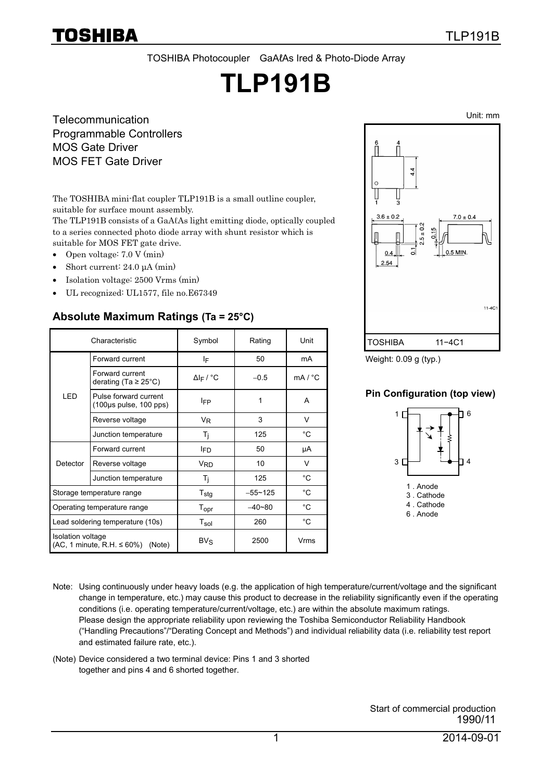TOSHIBA Photocoupler GaAℓAs Ired & Photo-Diode Array

# **TLP191B**

Telecommunication Programmable Controllers MOS Gate Driver MOS FET Gate Driver

The TOSHIBA mini-flat coupler TLP191B is a small outline coupler, suitable for surface mount assembly.

The TLP191B consists of a GaA $\ell$ As light emitting diode, optically coupled to a series connected photo diode array with shunt resistor which is suitable for MOS FET gate drive.

- Open voltage: 7.0 V (min)
- Short current: 24.0 μA (min)
- Isolation voltage: 2500 Vrms (min)
- UL recognized: UL1577, file no.E67349

#### **Absolute Maximum Ratings (Ta = 25°C)**

|                                                                           | Characteristic                                                      | Symbol                       | Rating      | Unit    |
|---------------------------------------------------------------------------|---------------------------------------------------------------------|------------------------------|-------------|---------|
|                                                                           | Forward current                                                     | ΙF                           | 50          | mA      |
| <b>LED</b>                                                                | Forward current<br>derating (Ta $\geq$ 25°C)                        | $\Delta$ I <sub>F</sub> / °C | $-0.5$      | mA / °C |
|                                                                           | Pulse forward current<br>$(100\mu s \text{ pulse}, 100 \text{pps})$ | <b>IFP</b>                   | 1           | A       |
|                                                                           | Reverse voltage                                                     | V <sub>R</sub>               | 3           | V       |
|                                                                           | Junction temperature                                                | T <sub>i</sub>               | 125         | °C      |
|                                                                           | Forward current                                                     | l <sub>FD</sub>              | 50          | μA      |
| Detector                                                                  | Reverse voltage                                                     | <b>V<sub>RD</sub></b>        | 10          | V       |
|                                                                           | Junction temperature                                                | $T_i$                        | 125         | °C      |
| Storage temperature range                                                 |                                                                     | $T_{\text{stg}}$             | $-55 - 125$ | °C      |
| Operating temperature range                                               |                                                                     | Topr                         | $-40 - 80$  | °C      |
| Lead soldering temperature (10s)                                          |                                                                     | $T_{sol}$                    | 260         | °C      |
| <b>Isolation voltage</b><br>$(AC, 1$ minute, R.H. $\leq 60\%$ )<br>(Note) |                                                                     | $BV_S$                       | 2500        | Vrms    |



Weight: 0.09 g (typ.)

#### **Pin Configuration (top view)**



Note: Using continuously under heavy loads (e.g. the application of high temperature/current/voltage and the significant change in temperature, etc.) may cause this product to decrease in the reliability significantly even if the operating conditions (i.e. operating temperature/current/voltage, etc.) are within the absolute maximum ratings. Please design the appropriate reliability upon reviewing the Toshiba Semiconductor Reliability Handbook ("Handling Precautions"/"Derating Concept and Methods") and individual reliability data (i.e. reliability test report and estimated failure rate, etc.).

<sup>(</sup>Note) Device considered a two terminal device: Pins 1 and 3 shorted together and pins 4 and 6 shorted together.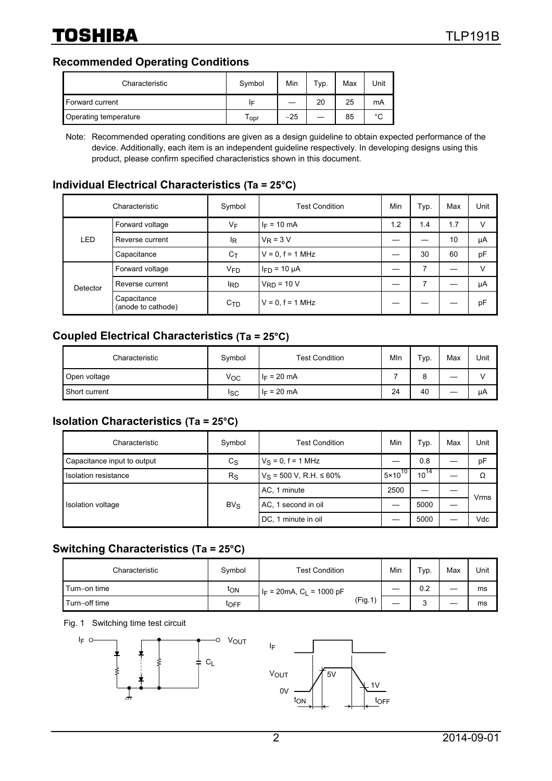## **Recommended Operating Conditions**

| Characteristic        | Symbol | Min   | Typ. | Max | Unit   |
|-----------------------|--------|-------|------|-----|--------|
| Forward current       | IF     |       | 20   | 25  | mA     |
| Operating temperature | opr    | $-25$ |      | 85  | $\sim$ |

Note: Recommended operating conditions are given as a design guideline to obtain expected performance of the device. Additionally, each item is an independent guideline respectively. In developing designs using this product, please confirm specified characteristics shown in this document.

#### **Individual Electrical Characteristics (Ta = 25°C)**

| Characteristic |                                   | Symbol                | <b>Test Condition</b> | Min | Typ. | Max | Unit |
|----------------|-----------------------------------|-----------------------|-----------------------|-----|------|-----|------|
| <b>LED</b>     | Forward voltage                   | VF                    | $I_F = 10$ mA         | 1.2 | 1.4  | 1.7 | v    |
|                | Reverse current                   | ΙŖ                    | $V_R = 3 V$           |     |      | 10  | μA   |
|                | Capacitance                       | $C_T$                 | $V = 0, f = 1 MHz$    |     | 30   | 60  | pF   |
| Detector       | Forward voltage                   | <b>V<sub>FD</sub></b> | $I_{FD}$ = 10 $\mu$ A |     | 7    |     | v    |
|                | Reverse current                   | <sup>I</sup> RD       | $V_{RD}$ = 10 V       |     | 7    |     | μA   |
|                | Capacitance<br>(anode to cathode) | C <sub>TD</sub>       | $V = 0, f = 1 MHz$    |     |      |     | pF   |

### **Coupled Electrical Characteristics (Ta = 25°C)**

| Characteristic | Symbol | <b>Test Condition</b> | MIn | Typ.   | Max | Unit |
|----------------|--------|-----------------------|-----|--------|-----|------|
| Open voltage   | Voc    | $I_F = 20 \text{ mA}$ |     | о<br>o |     |      |
| Short current  | Isc    | $I_F = 20 \text{ mA}$ | 24  | 40     |     | μA   |

#### **Isolation Characteristics (Ta = 25°C)**

| Characteristic              | Symbol         | <b>Test Condition</b>          | Min                       | Typ.      | Max | Unit |
|-----------------------------|----------------|--------------------------------|---------------------------|-----------|-----|------|
| Capacitance input to output | $c_{\rm S}$    | $V_S = 0, f = 1$ MHz           |                           | 0.8       |     | pF   |
| Isolation resistance        | R <sub>S</sub> | $V_S$ = 500 V, R.H. $\leq$ 60% | $\sqrt{5 \times 10^{10}}$ | $10^{14}$ |     | Ω    |
|                             |                | AC, 1 minute                   | 2500                      |           |     |      |
| Isolation voltage           | $BV_S$         | AC, 1 second in oil            |                           | 5000      |     | Vrms |
|                             |                | DC, 1 minute in oil            |                           | 5000      |     | Vdc  |

#### **Switching Characteristics (Ta = 25°C)**

| Characteristic | Symbol | <b>Test Condition</b>                       | Min | Typ. | Max | Unit |
|----------------|--------|---------------------------------------------|-----|------|-----|------|
| Turn-on time   | ton    | $I_F = 20 \text{mA}, C_L = 1000 \text{ pF}$ |     | 0.2  |     | ms   |
| Turn-off time  | toff   | (Fig.1)                                     |     |      |     | ms   |

Fig. 1 Switching time test circuit



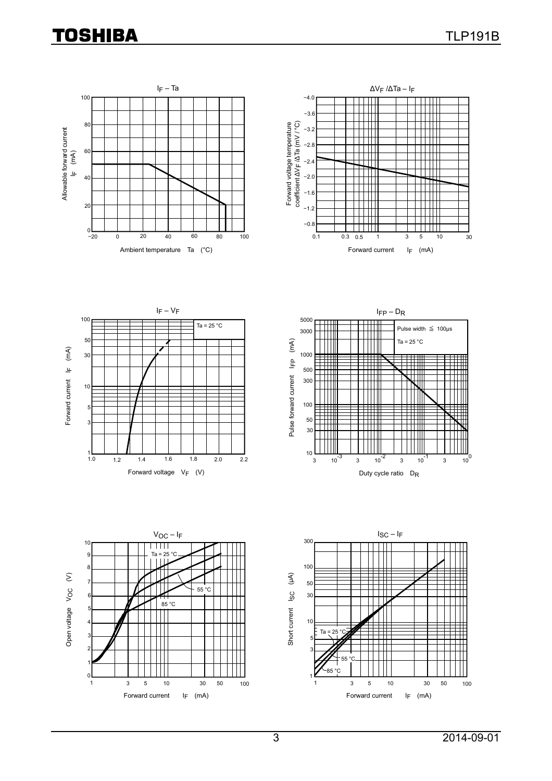# **TOSHIBA**











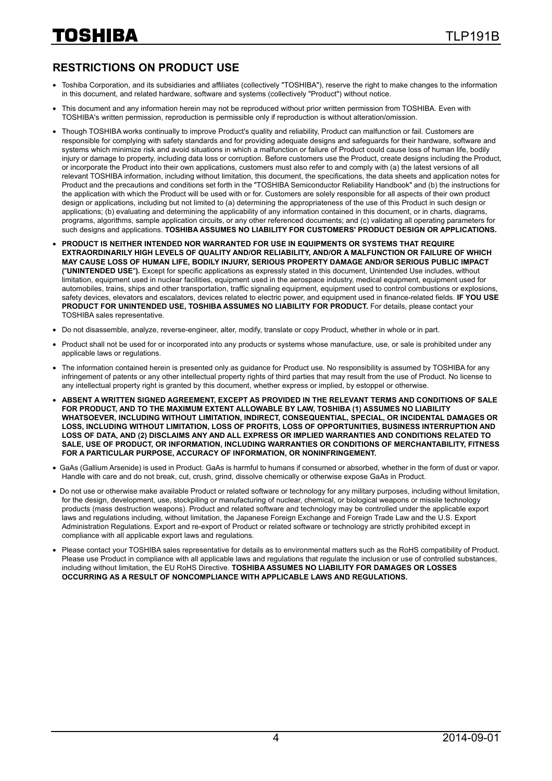## **RESTRICTIONS ON PRODUCT USE**

- Toshiba Corporation, and its subsidiaries and affiliates (collectively "TOSHIBA"), reserve the right to make changes to the information in this document, and related hardware, software and systems (collectively "Product") without notice.
- This document and any information herein may not be reproduced without prior written permission from TOSHIBA. Even with TOSHIBA's written permission, reproduction is permissible only if reproduction is without alteration/omission.
- Though TOSHIBA works continually to improve Product's quality and reliability, Product can malfunction or fail. Customers are responsible for complying with safety standards and for providing adequate designs and safeguards for their hardware, software and systems which minimize risk and avoid situations in which a malfunction or failure of Product could cause loss of human life, bodily injury or damage to property, including data loss or corruption. Before customers use the Product, create designs including the Product, or incorporate the Product into their own applications, customers must also refer to and comply with (a) the latest versions of all relevant TOSHIBA information, including without limitation, this document, the specifications, the data sheets and application notes for Product and the precautions and conditions set forth in the "TOSHIBA Semiconductor Reliability Handbook" and (b) the instructions for the application with which the Product will be used with or for. Customers are solely responsible for all aspects of their own product design or applications, including but not limited to (a) determining the appropriateness of the use of this Product in such design or applications; (b) evaluating and determining the applicability of any information contained in this document, or in charts, diagrams, programs, algorithms, sample application circuits, or any other referenced documents; and (c) validating all operating parameters for such designs and applications. **TOSHIBA ASSUMES NO LIABILITY FOR CUSTOMERS' PRODUCT DESIGN OR APPLICATIONS.**
- **PRODUCT IS NEITHER INTENDED NOR WARRANTED FOR USE IN EQUIPMENTS OR SYSTEMS THAT REQUIRE EXTRAORDINARILY HIGH LEVELS OF QUALITY AND/OR RELIABILITY, AND/OR A MALFUNCTION OR FAILURE OF WHICH MAY CAUSE LOSS OF HUMAN LIFE, BODILY INJURY, SERIOUS PROPERTY DAMAGE AND/OR SERIOUS PUBLIC IMPACT (**"**UNINTENDED USE**"**).** Except for specific applications as expressly stated in this document, Unintended Use includes, without limitation, equipment used in nuclear facilities, equipment used in the aerospace industry, medical equipment, equipment used for automobiles, trains, ships and other transportation, traffic signaling equipment, equipment used to control combustions or explosions, safety devices, elevators and escalators, devices related to electric power, and equipment used in finance-related fields. **IF YOU USE PRODUCT FOR UNINTENDED USE, TOSHIBA ASSUMES NO LIABILITY FOR PRODUCT.** For details, please contact your TOSHIBA sales representative.
- Do not disassemble, analyze, reverse-engineer, alter, modify, translate or copy Product, whether in whole or in part.
- Product shall not be used for or incorporated into any products or systems whose manufacture, use, or sale is prohibited under any applicable laws or regulations.
- The information contained herein is presented only as quidance for Product use. No responsibility is assumed by TOSHIBA for any infringement of patents or any other intellectual property rights of third parties that may result from the use of Product. No license to any intellectual property right is granted by this document, whether express or implied, by estoppel or otherwise.
- **ABSENT A WRITTEN SIGNED AGREEMENT, EXCEPT AS PROVIDED IN THE RELEVANT TERMS AND CONDITIONS OF SALE FOR PRODUCT, AND TO THE MAXIMUM EXTENT ALLOWABLE BY LAW, TOSHIBA (1) ASSUMES NO LIABILITY WHATSOEVER, INCLUDING WITHOUT LIMITATION, INDIRECT, CONSEQUENTIAL, SPECIAL, OR INCIDENTAL DAMAGES OR LOSS, INCLUDING WITHOUT LIMITATION, LOSS OF PROFITS, LOSS OF OPPORTUNITIES, BUSINESS INTERRUPTION AND LOSS OF DATA, AND (2) DISCLAIMS ANY AND ALL EXPRESS OR IMPLIED WARRANTIES AND CONDITIONS RELATED TO SALE, USE OF PRODUCT, OR INFORMATION, INCLUDING WARRANTIES OR CONDITIONS OF MERCHANTABILITY, FITNESS FOR A PARTICULAR PURPOSE, ACCURACY OF INFORMATION, OR NONINFRINGEMENT.**
- GaAs (Gallium Arsenide) is used in Product. GaAs is harmful to humans if consumed or absorbed, whether in the form of dust or vapor. Handle with care and do not break, cut, crush, grind, dissolve chemically or otherwise expose GaAs in Product.
- Do not use or otherwise make available Product or related software or technology for any military purposes, including without limitation, for the design, development, use, stockpiling or manufacturing of nuclear, chemical, or biological weapons or missile technology products (mass destruction weapons). Product and related software and technology may be controlled under the applicable export laws and regulations including, without limitation, the Japanese Foreign Exchange and Foreign Trade Law and the U.S. Export Administration Regulations. Export and re-export of Product or related software or technology are strictly prohibited except in compliance with all applicable export laws and regulations.
- Please contact your TOSHIBA sales representative for details as to environmental matters such as the RoHS compatibility of Product. Please use Product in compliance with all applicable laws and regulations that regulate the inclusion or use of controlled substances, including without limitation, the EU RoHS Directive. **TOSHIBA ASSUMES NO LIABILITY FOR DAMAGES OR LOSSES OCCURRING AS A RESULT OF NONCOMPLIANCE WITH APPLICABLE LAWS AND REGULATIONS.**